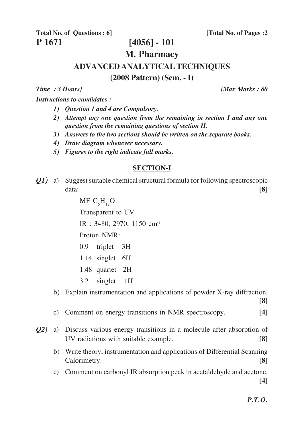### Total No. of Questions : 6] [Total No. of Pages : 2 **P 1671**

## **M. Pharmacy**

**[4056] - 101**

### **ADVANCED ANALYTICAL TECHNIQUES (2008 Pattern) (Sem. - I)**

*Time : 3 Hours] [Max Marks : 80*

*Instructions to candidates :*

- *1) Question 1 and 4 are Compulsory.*
- *2) Attempt any one question from the remaining in section I and any one question from the remaining questions of section II.*
- *3) Answers to the two sections should be written on the separate books.*
- *4) Draw diagram whenever necessary.*
- *5) Figures to the right indicate full marks.*

#### **SECTION-I**

*Q1)* a) Suggest suitable chemical structural formula for following spectroscopic data: **[8]**

MF  $C_5H_{12}O$ 

Transparent to UV

IR : 3480, 2970, 1150 cm-1

Proton NMR:

- 0.9 triplet 3H
- 1.14 singlet 6H
- 1.48 quartet 2H
- 3.2 singlet 1H

### b) Explain instrumentation and applications of powder X-ray diffraction.

**[8]**

- c) Comment on energy transitions in NMR spectroscopy. **[4]**
- *Q2)* a) Discuss various energy transitions in a molecule after absorption of UV radiations with suitable example. **[8]**
	- b) Write theory, instrumentation and applications of Differential Scanning Calorimetry. **[8]**
	- c) Comment on carbonyl IR absorption peak in acetaldehyde and acetone.

**[4]**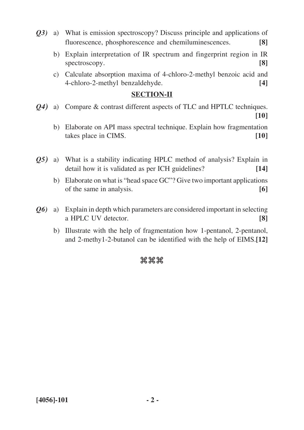- *Q3)* a) What is emission spectroscopy? Discuss principle and applications of fluorescence, phosphorescence and chemiluminescences. **[8]**
	- b) Explain interpretation of IR spectrum and fingerprint region in IR spectroscopy. **[8]**
	- c) Calculate absorption maxima of 4-chloro-2-methyl benzoic acid and 4-chloro-2-methyl benzaldehyde. **[4]**

#### **SECTION-II**

- *Q4)* a) Compare & contrast different aspects of TLC and HPTLC techniques. **[10]**
	- b) Elaborate on API mass spectral technique. Explain how fragmentation takes place in CIMS. **[10]**
- *Q5)* a) What is a stability indicating HPLC method of analysis? Explain in detail how it is validated as per ICH guidelines? **[14]**
	- b) Elaborate on what is "head space GC"? Give two important applications of the same in analysis. **[6]**
- *Q6)* a) Explain in depth which parameters are considered important in selecting a HPLC UV detector. **[8]**
	- b) Illustrate with the help of fragmentation how 1-pentanol, 2-pentanol, and 2-methy1-2-butanol can be identified with the help of EIMS.**[12]**

### $\text{H}\text{H}\text{H}$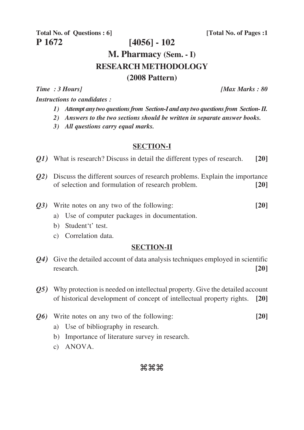**Total No. of Questions : 6] [Total No. of Pages :1 P 1672**

# **[4056] - 102 M. Pharmacy (Sem. - I) RESEARCH METHODOLOGY (2008 Pattern)**

*Time : 3 Hours] [Max Marks : 80*

*Instructions to candidates :*

- *1) Attempt any two questions from Section-I and any two questions from Section- II.*
- *2) Answers to the two sections should be written in separate answer books.*
- *3) All questions carry equal marks.*

### **SECTION-I**

*Q1)* What is research? Discuss in detail the different types of research. **[20]**

- *Q2)* Discuss the different sources of research problems. Explain the importance of selection and formulation of research problem. **[20]**
- *Q3)* Write notes on any two of the following: **[20]**
	- a) Use of computer packages in documentation.
	- b) Student't' test.
	- c) Correlation data.

### **SECTION-II**

- *Q4)* Give the detailed account of data analysis techniques employed in scientific research. **[20]**
- *Q5)* Why protection is needed on intellectual property. Give the detailed account of historical development of concept of intellectual property rights. **[20]**
- *Q6)* Write notes on any two of the following: **[20]**
	- a) Use of bibliography in research.
	- b) Importance of literature survey in research.
	- c) ANOVA.

### $\mathcal{H}\mathcal{H}\mathcal{H}$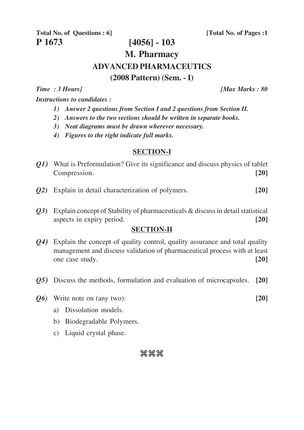### **Total No. of Questions : 6] [Total No. of Pages :1 P 1673**

# **[4056] - 103 M. Pharmacy ADVANCED PHARMACEUTICS**

### **(2008 Pattern) (Sem. - I)**

*Time : 3 Hours] [Max Marks : 80*

*Instructions to candidates :*

- *1) Answer 2 questions from Section I and 2 questions from Section II.*
- *2) Answers to the two sections should be written in separate books.*
- *3) Neat diagrams must be drawn wherever necessary.*
- *4) Figures to the right indicate full marks.*

### **SECTION-I**

- *Q1)* What is Preformulation? Give its significance and discuss physics of tablet Compression. **[20]**
- *Q2)* Explain in detail characterization of polymers. **[20]**
- *Q3)* Explain concept of Stability of pharmaceuticals & discuss in detail statistical aspects in expiry period. **[20]**

### **SECTION-II**

- *Q4)* Explain the concept of quality control, quality assurance and total quality management and discuss validation of pharmaceutical process with at least one case study. **[20]**
- *Q5)* Discuss the methods, formulation and evaluation of microcapsules. **[20]**
- *Q6)* Write note on (any two): **[20]**
	- a) Dissolution models.
	- b) Biodegradable Polymers.
	- c) Liquid crystal phase.

### $\text{H}\text{H}\text{H}$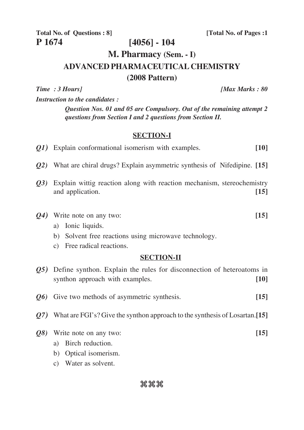$\mathcal{H}\mathcal{H}\mathcal{H}$ 

**Total No. of Questions : 8] [Total No. of Pages :1 P 1674**

*Instruction to the candidates :*

### **M. Pharmacy (Sem. - I)**

**[4056] - 104**

# **ADVANCED PHARMACEUTICAL CHEMISTRY (2008 Pattern)**

*Time : 3 Hours] [Max Marks : 80*

*Question Nos. 01 and 05 are Compulsory. Out of the remaining attempt 2 questions from Section I and 2 questions from Section II.*

#### **SECTION-I**

*Q1)* Explain conformational isomerism with examples. **[10]**

- *Q2)* What are chiral drugs? Explain asymmetric synthesis of Nifedipine. **[15]**
- *Q3)* Explain wittig reaction along with reaction mechanism, stereochemistry and application. **[15]**
- *Q4)* Write note on any two: **[15]**
	- a) Ionic liquids.
	- b) Solvent free reactions using microwave technology.
	- c) Free radical reactions.

#### **SECTION-II**

- *Q5)* Define synthon. Explain the rules for disconnection of heteroatoms in synthon approach with examples. **[10]**
- *Q6)* Give two methods of asymmetric synthesis. **[15]**
- *Q7)* What are FGI's? Give the synthon approach to the synthesis of Losartan.**[15]**
- *Q8)* Write note on any two: **[15]**
	- a) Birch reduction.
	- b) Optical isomerism.
	- c) Water as solvent.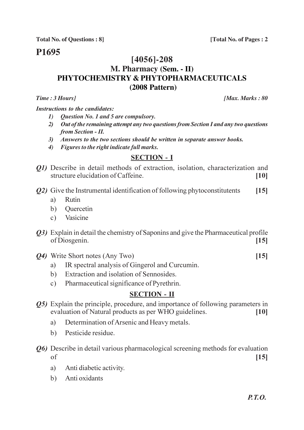Total No. of Questions : 8] **[Total No. of Pages : 2** 

### **P1695**

### **[4056]-208 M. Pharmacy (Sem. - II) PHYTOCHEMISTRY & PHYTOPHARMACEUTICALS (2008 Pattern)**

**Instructions to the candidates:** 

- *1) Question No. 1 and 5 are compulsory.*
- 2) Out of the remaining attempt any two questions from Section I and any two questions from Section - II.
- 3) Answers to the two sections should be written in separate answer books.
- *4) Figures to the right indicate full marks.*

### **SECTION - I**

- *Q1*) Describe in detail methods of extraction, isolation, characterization and structure elucidation of Caffein e.  $[10]$
- *Q2* Give the Instrumental identification of following phytoconstituten  $[15]$ 
	- a) Rutin
	- b) Quercetin
	- c) Vasicine
- Q3) Explain in detail the chemistry of Saponins and give the Pharmaceutical profile of Diosgenin  $\frac{1}{2}$  [15]
- 24) Write Short notes (An  $\mathbf{y} \, \text{Two}$  [15]
	- a) IR spectral analysis of Gingerol and Curcumin.
	- b) Extraction and isolation of Sennosides.
	- c) Pharmaceutical significance of Pyrethrin.

### **SECTION - II**

- *Q5*) Explain the principle, procedure, and importance of following parameters in evaluation of Natural products as per WHO guidelin  $[10]$ 
	- a) etermination of Arsenic and Heavy metals.
	- b) Pesticide residue.
- *Q*6) Describe in detail various pharmacological screening methods for evaluation of  $[15]$ 
	- a) Anti diabetic activity.
	- $\mathbf{b}$ ) ti oxidants

*Time : 3 Hours] [Max. Marks : 80*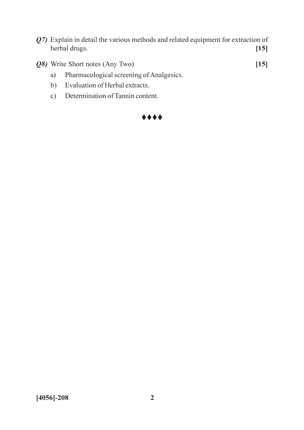- Q7) Explain in detail the various methods and related equipment for extraction of herbal drugs.  $[15]$
- Q8) Write Short notes (Any Two)  $[15]$ 
	- Pharmacological screening of Analgesics. a)
	- Evaluation of Herbal extracts.  $b)$
	- Determination of Tannin content.  $c)$

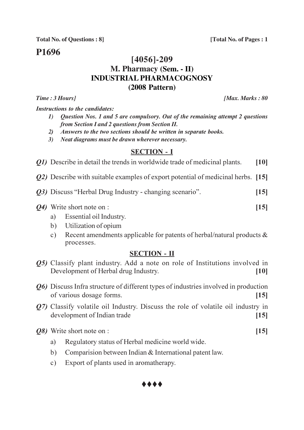**Total No. of Questions: 8]** 

P<sub>1696</sub>

### $[4056] - 209$ M. Pharmacy (Sem. - II) **INDUSTRIAL PHARMACOGNOSY**  $(2008$  Pattern)

Time: 3 Hours]

#### **Instructions to the candidates:**

- Question Nos. 1 and 5 are compulsory. Out of the remaining attempt 2 questions  $\mathbf{D}$ from Section I and 2 questions from Section II.
- Answers to the two sections should be written in separate books.  $2)$
- 3) Neat diagrams must be drawn wherever necessary.

#### **SECTION - I**

Q1) Describe in detail the trends in worldwide trade of medicinal plants.  $[10]$ 

- Q2) Describe with suitable examples of export potential of medicinal herbs. [15]
- 03) Discuss "Herbal Drug Industry changing scenario".  $[15]$

#### *Q4*) Write short note on :

- Essential oil Industry. a)
- Utilization of opium  $b)$
- Recent amendments applicable for patents of herbal/natural products  $\&$  $c)$ processes.

### **SECTION - II**

- **05)** Classify plant industry. Add a note on role of Institutions involved in Development of Herbal drug Industry.  $[10]$
- *O6*) Discuss Infra structure of different types of industries involved in production of various dosage forms.  $[15]$
- Q7) Classify volatile oil Industry. Discuss the role of volatile oil industry in development of Indian trade  $[15]$

*O8* Write short note on :

- Regulatory status of Herbal medicine world wide. a)
- Comparision between Indian & International patent law.  $b)$
- Export of plants used in aromatherapy.  $c)$

....

 $[15]$ 

 $[15]$ 

[Max. Marks:  $80$ ]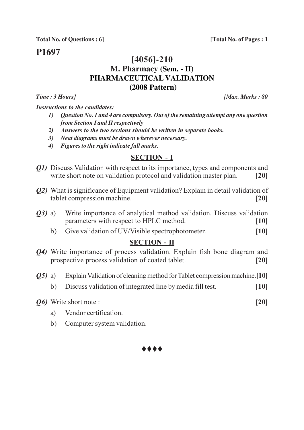[Total No. of Pages : 1

**Total No. of Questions: 6]** 

### P<sub>1697</sub>

### $[4056] - 210$ M. Pharmacy (Sem. - II) PHARMACEUTICAL VALIDATION  $(2008$  Pattern)

Time: 3 Hours]

[Max. Marks:  $80$ 

 $[20]$ 

**Instructions to the candidates:** 

- Question No. 1 and 4 are compulsory. Out of the remaining attempt any one question  $\mathbf{I}$ from Section I and II respectively
- Answers to the two sections should be written in separate books.  $2)$
- Neat diagrams must be drawn wherever necessary.  $3)$
- $\overline{4}$ Figures to the right indicate full marks.

### **SECTION - I**

- Q1) Discuss Validation with respect to its importance, types and components and write short note on validation protocol and validation master plan.  $[20]$
- Q2) What is significance of Equipment validation? Explain in detail validation of tablet compression machine.  $[20]$
- Write importance of analytical method validation. Discuss validation  $O3)$  a) parameters with respect to HPLC method.  $[10]$ 
	- Give validation of UV/Visible spectrophotometer.  $b)$  $[10]$

### **SECTION - II**

- *Q4*) Write importance of process validation. Explain fish bone diagram and prospective process validation of coated tablet.  $\lceil 20 \rceil$
- $O(5)$  a) Explain Validation of cleaning method for Tablet compression machine. [10]
	- Discuss validation of integrated line by media fill test.  $[10]$  $b)$

#### *O6*) Write short note :

- Vendor certification. a)
- $b)$ Computer system validation.

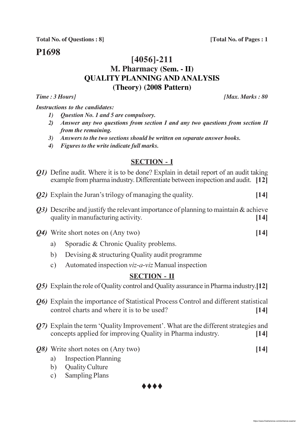Total No. of Questions : 8] **[Total No. of Pages : 1** 

### **P1698**

### **[4056]-211 M. Pharmacy (Sem. - II) QUALITY PLANNING AND ANALYSIS (Theory) (2008 Pattern)**

*Time : 3 Hours] [Max. Marks : 80*

**Instructions to the candidates:** 

- *1) Question No. 1 and 5 are compulsory.*
- 2) Answer any two questions from section I and any two questions from section II *from the remaining.*
- *3) Answers to the two sections should be written on separate answer books.*
- *4) Figures to the write indicate full marks.*

### **SECTION - I**

- *Q1*) Define audit. Where it is to be done? Explain in detail report of an audit taking example from pharma industry. Differentiate between inspection and audit. [12]
- **(22)** Explain the Juran's trilogy of managing the quality. [14]
- *Q3*) Describe and justify the relevant importance of planning to maintain & achieve quality in manufacturing activity.
- $Q4$ ) Write short notes on  $(Any two)$  [14]
	- a) Sporadic & Chronic Quality problems.
	- $b)$ evising & structuring Quality audit programme
	- c) Automated inspection viz-a-viz Manual inspection

### **SECTION - II**

- *Q5* Explain the role of Quality control and Quality assurance in Pharma industry. [12]
- *Q6*) Explain the importance of Statistical Process Control and different statistical control charts and where it is to be used  $?$  [14]
- *Q7*) Explain the term 'Quality Improvement'. What are the different strategies and concepts applied for improving Quality in Pharma industry. [14]
- $\mathbf{Q8}$ ) Write short notes on (Any two) [14]
	-

- a) Inspection Planning
- b) Ouality Culture
- c) Sampling Plans

 $+ + + +$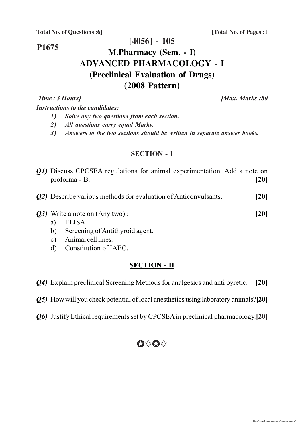$[4056] - 105$ 

[Total No. of Pages :1

### P<sub>1675</sub>

# M.Pharmacy (Sem. - I) **ADVANCED PHARMACOLOGY - I** (Preclinical Evaluation of Drugs)  $(2008$  Pattern)

Time: 3 Hours]

**[Max. Marks:80** 

**Instructions to the candidates:** 

- Solve any two questions from each section.  $1)$
- $2)$ All questions carry equal Marks.
- 3) Answers to the two sections should be written in separate answer books.

### **SECTION - I**

|          | <i>Q1</i> ) Discuss CPCSEA regulations for animal experimentation. Add a note on<br>proforma - B. | [20] |
|----------|---------------------------------------------------------------------------------------------------|------|
|          | <b><i>O2</i></b> Describe various methods for evaluation of Anticonvulsants.                      | [20] |
| a)<br>b) | $Q3$ ) Write a note on (Any two):<br>ELISA.<br>Screening of Antithyroid agent.                    | [20] |

- c) Animal cell lines.
- Constitution of IAEC.  $d)$

#### **SECTION - II**

*O4*) Explain preclinical Screening Methods for analgesics and anti pyretic. [20]

- *O5*) How will you check potential of local anesthetics using laboratory animals?[20]
- *O6*) Justify Ethical requirements set by CPCSEA in preclinical pharmacology.[20]

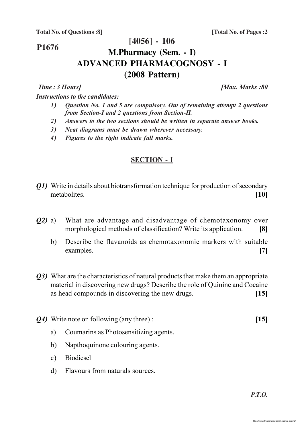[Total No. of Pages :2

#### P<sub>1676</sub>

### $[4056] - 106$ M.Pharmacy (Sem. - I) **ADVANCED PHARMACOGNOSY - I**  $(2008$  Pattern)

Time: 3 Hours]

**[Max. Marks:80** 

**Instructions to the candidates:** 

- Question No. 1 and 5 are compulsory. Out of remaining attempt 2 questions  $\mathcal{D}$ from Section-I and 2 questions from Section-II.
- Answers to the two sections should be written in separate answer books.  $2)$
- Neat diagrams must be drawn wherever necessary.  $3)$
- $\boldsymbol{4}$ Figures to the right indicate full marks.

#### **SECTION - I**

- *O1*) Write in details about biotransformation technique for production of secondary metabolites.  $[10]$
- $(02)$  a) What are advantage and disadvantage of chemotaxonomy over morphological methods of classification? Write its application.  $\lceil 8 \rceil$ 
	- Describe the flavanoids as chemotaxonomic markers with suitable  $b)$ examples.  $[7]$
- *Q3*) What are the characteristics of natural products that make them an appropriate material in discovering new drugs? Describe the role of Quinine and Cocaine as head compounds in discovering the new drugs.  $[15]$
- *Q4*) Write note on following (any three):  $[15]$ 
	- Coumarins as Photosensitizing agents. a)
	- Napthoquinone colouring agents.  $b)$
	- **Biodiesel**  $c)$
	- Flavours from naturals sources.  $\mathbf{d}$

 $P.T.O.$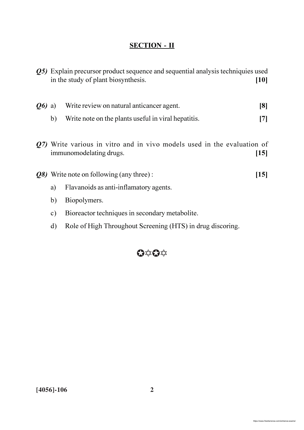### **SECTION - II**

|                     |           | Q5) Explain precursor product sequence and sequential analysis techniquies used<br>in the study of plant biosynthesis.<br>[10] |                   |  |
|---------------------|-----------|--------------------------------------------------------------------------------------------------------------------------------|-------------------|--|
| <b><i>O6</i></b> a) |           | Write review on natural anticancer agent.                                                                                      | $\lceil 8 \rceil$ |  |
|                     | b)        | Write note on the plants useful in viral hepatitis.                                                                            | 17 I              |  |
|                     |           | $Q7$ ) Write various in vitro and in vivo models used in the evaluation of<br>immunomodelating drugs.<br>$[15]$                |                   |  |
|                     |           | <b>Q8</b> ) Write note on following (any three):<br>[15]                                                                       |                   |  |
|                     | a)        | Flavanoids as anti-inflamatory agents.                                                                                         |                   |  |
|                     | b)        | Biopolymers.                                                                                                                   |                   |  |
|                     | $\circ$ ) | Bioreactor techniques in secondary metabolite.                                                                                 |                   |  |
|                     | d)        | Role of High Throughout Screening (HTS) in drug discoring.                                                                     |                   |  |

### ◎☆●☆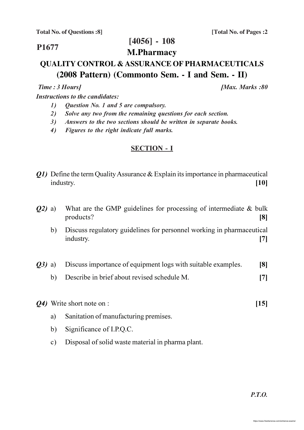[Total No. of Pages :2

#### $[4056] - 108$

P<sub>1677</sub>

### **M.Pharmacy**

### **QUALITY CONTROL & ASSURANCE OF PHARMACEUTICALS** (2008 Pattern) (Commonto Sem. - I and Sem. - II)

Time: 3 Hours]

**[Max. Marks:80** 

**Instructions to the candidates:** 

- Question No. 1 and 5 are compulsory.  $\mathbf{I}$
- $2)$ Solve any two from the remaining questions for each section.
- Answers to the two sections should be written in separate books.  $3)$
- Figures to the right indicate full marks. 4)

#### **SECTION - I**

- $Q1$ ) Define the term Quality Assurance & Explain its importance in pharmaceutical industry.  $[10]$
- What are the GMP guidelines for processing of intermediate  $\&$  bulk  $Q2)$  a) products?  $[8]$ 
	- Discuss regulatory guidelines for personnel working in pharmaceutical  $b)$ industry.  $[7]$
- Discuss importance of equipment logs with suitable examples.  $[8]$ *(03)* a)
	- Describe in brief about revised schedule M.  $b)$  $[7]$
- *Q4*) Write short note on :  $[15]$ 
	- Sanitation of manufacturing premises. a)
	- Significance of I.P.Q.C.  $b)$
	- Disposal of solid waste material in pharma plant.  $c)$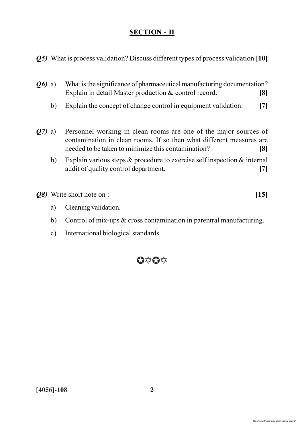### **SECTION - II**

*Q5*) What is process validation? Discuss different types of process validation. [10]

What is the significance of pharmaceutical manufacturing documentation?  $Q_0$  a) Explain in detail Master production & control record.  $[8]$ 

 $b)$ Explain the concept of change control in equipment validation.  $[7]$ 

- Personnel working in clean rooms are one of the major sources of  $O(7)$  a) contamination in clean rooms. If so then what different measures are needed to be taken to minimize this contamination?  $[8]$ 
	- Explain various steps  $\&$  procedure to exercise self inspection  $\&$  internal  $b)$ audit of quality control department.  $[7]$

*Q8*) Write short note on :

Cleaning validation. a)

 $b)$ Control of mix-ups  $\&$  cross contamination in parentral manufacturing.

International biological standards.  $c)$ 

 $\Omega$  $\triangle$  $\Omega$  $\triangle$ 

 $[15]$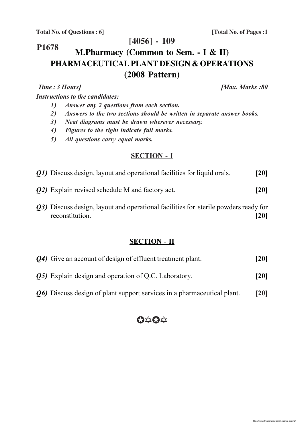### **[4056] - 109**

### **M.Pharmacy (Common to Sem. - I & II) PHARMACEUTICAL PLANT DESIGN & OPERATIONS (2008 Pattern) P1678**

**Time**: 3 Ho

*<i>Max. Marks*:80

**Instructions to the candidates:** 

- *answer any 2 questions from each section.*
- 2) Answers to the two sections should be written in separate answer books.
- 3) Neat diagrams must be drawn wherever necessary.
- *A*) Figures to the right indicate full marks.
- 5) *duestions carry equal marks.*

### **SECTION - I**

*Q1* Discuss design, layout and operational facilities for liquid orals. [20]

**(22)** Explain revised schedule M and factory act. [20]

*Q3*) Discuss design, layout and operational facilities for sterile powders ready for reconstitution. [20]

### **SECTION - II**

| <i>Q4</i> ) Give an account of design of effluent treatment plant.      | [20] |
|-------------------------------------------------------------------------|------|
| <b><i>Q5</i></b> ) Explain design and operation of Q.C. Laboratory.     | [20] |
| Q6) Discuss design of plant support services in a pharmaceutical plant. | [20] |

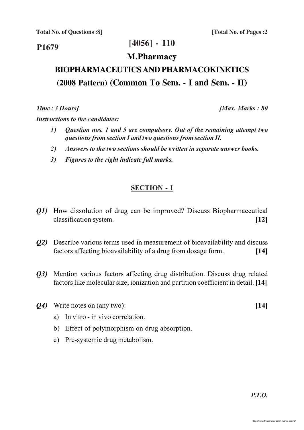[Total No. of Pages :2

#### P<sub>1679</sub>

### $[4056] - 110$

#### **M.Pharmacy**

# **BIOPHARMACEUTICS AND PHARMACOKINETICS** (2008 Pattern) (Common To Sem. - I and Sem. - II)

Time: 3 Hours]

[Max. Marks: 80]

**Instructions to the candidates:** 

- Question nos. 1 and 5 are compulsory. Out of the remaining attempt two  $\mathbf{I}$ questions from section I and two questions from section II.
- Answers to the two sections should be written in separate answer books.  $2)$
- 3) Figures to the right indicate full marks.

#### **SECTION - I**

- *O1*) How dissolution of drug can be improved? Discuss Biopharmaceutical classification system.  $[12]$
- **Q2)** Describe various terms used in measurement of bioavailability and discuss factors affecting bioavailability of a drug from dosage form.  $[14]$
- Q3) Mention various factors affecting drug distribution. Discuss drug related factors like molecular size, ionization and partition coefficient in detail. [14]
- $Q4$ ) Write notes on (any two):

 $[14]$ 

- a) In vitro in vivo correlation.
- b) Effect of polymorphism on drug absorption.
- c) Pre-systemic drug metabolism.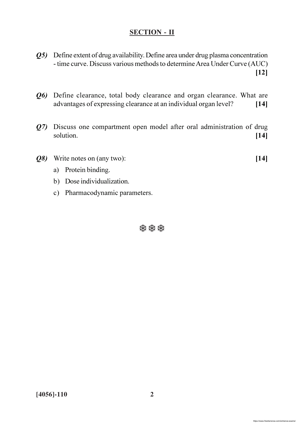#### **SECTION - II**

- Q5) Define extent of drug availability. Define area under drug plasma concentration - time curve. Discuss various methods to determine Area Under Curve (AUC)  $[12]$
- Q6) Define clearance, total body clearance and organ clearance. What are advantages of expressing clearance at an individual organ level?  $[14]$
- O7) Discuss one compartment open model after oral administration of drug solution.  $[14]$
- $\boldsymbol{0}$ 8) Write notes on (any two):

 $[14]$ 

- a) Protein binding.
- b) Dose individualization.
- c) Pharmacodynamic parameters.

### 染染染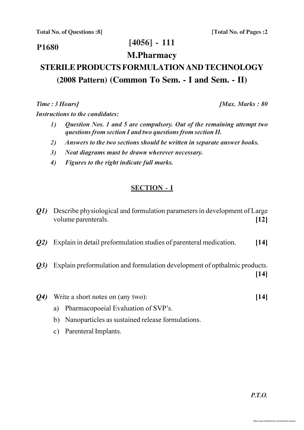[Total No. of Pages :2

**[Max. Marks: 80** 

#### P<sub>1680</sub>

### $[4056] - 111$

### **M.Pharmacy**

# **STERILE PRODUCTS FORMULATION AND TECHNOLOGY** (2008 Pattern) (Common To Sem. - I and Sem. - II)

Time: 3 Hours] **Instructions to the candidates:** 

- Question Nos. 1 and 5 are compulsory. Out of the remaining attempt two  $\mathbf{I}$ questions from section I and two questions from section II.
- $2)$ Answers to the two sections should be written in separate answer books.
- Neat diagrams must be drawn wherever necessary.  $3)$
- Figures to the right indicate full marks.  $\overline{4}$

#### **SECTION - I**

| <i>O1</i> ) | Describe physiological and formulation parameters in development of Large<br>volume parenterals. | [12] |
|-------------|--------------------------------------------------------------------------------------------------|------|
| O2)         | Explain in detail preformulation studies of parenteral medication.                               | [14] |
| <i>O3</i> ) | Explain preformulation and formulation development of opthalmic products.                        | [14] |

- *O4* Write a short notes on (any two):  $[14]$ 
	- a) Pharmacopoeial Evaluation of SVP's.
	- b) Nanoparticles as sustained release formulations.
	- c) Parenteral Implants.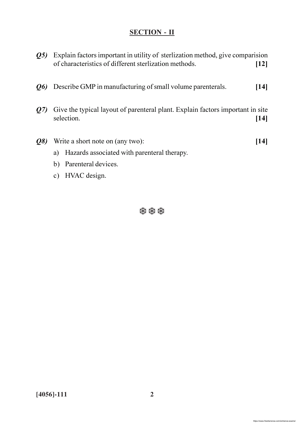### **SECTION - II**

| O5)                   | Explain factors important in utility of sterlization method, give comparision<br>of characteristics of different sterlization methods.<br>$[12]$ |  |
|-----------------------|--------------------------------------------------------------------------------------------------------------------------------------------------|--|
| <i>O</i> <sub>6</sub> | Describe GMP in manufacturing of small volume parenterals.<br>$[14]$                                                                             |  |
| O7)                   | Give the typical layout of parenteral plant. Explain factors important in site<br>selection.<br>[14]                                             |  |
| <i><b>O8</b></i>      | Write a short note on (any two):<br>[14]                                                                                                         |  |
|                       | Hazards associated with parenteral therapy.<br>a)                                                                                                |  |
|                       | Parenteral devices.<br>b)                                                                                                                        |  |
|                       | HVAC design.<br>C)                                                                                                                               |  |

**桊 桊 桊**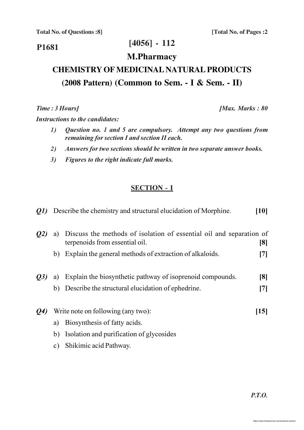[Total No. of Pages :2

#### P1681

### $[4056] - 112$

### **M.Pharmacy**

# **CHEMISTRY OF MEDICINAL NATURAL PRODUCTS** (2008 Pattern) (Common to Sem. - I & Sem. - II)

Time: 3 Hours]

[Max. Marks: 80]

**Instructions to the candidates:** 

- Question no. 1 and 5 are compulsory. Attempt any two questions from  $\mathbf{I}$ remaining for section I and section II each.
- Answers for two sections should be written in two separate answer books.  $2)$
- 3) Figures to the right indicate full marks.

#### **SECTION - I**

|             |    | <i>Q1</i> ) Describe the chemistry and structural elucidation of Morphine.                            | [10]              |
|-------------|----|-------------------------------------------------------------------------------------------------------|-------------------|
| Q2)         | a) | Discuss the methods of isolation of essential oil and separation of<br>terpenoids from essential oil. | [8]               |
|             | b) | Explain the general methods of extraction of alkaloids.                                               | [7]               |
| <i>O3</i> ) | a) | Explain the biosynthetic pathway of isoprenoid compounds.                                             | $\lceil 8 \rceil$ |
|             |    | b) Describe the structural elucidation of ephedrine.                                                  | $[7]$             |
| Q4)         |    | Write note on following (any two):                                                                    | $\vert 15 \vert$  |
|             | a) | Biosynthesis of fatty acids.                                                                          |                   |
|             | b) | Isolation and purification of glycosides                                                              |                   |
|             | c) | Shikimic acid Pathway.                                                                                |                   |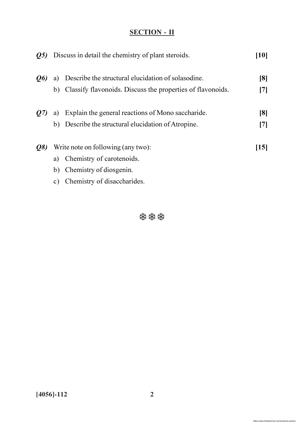### **SECTION - II**

| O5)                   |                | Discuss in detail the chemistry of plant steroids.            | [10]   |
|-----------------------|----------------|---------------------------------------------------------------|--------|
| <i>O</i> <sub>6</sub> | a)             | Describe the structural elucidation of solasodine.            | [8]    |
|                       |                | b) Classify flavonoids. Discuss the properties of flavonoids. | [7]    |
| O7)                   | a)             | Explain the general reactions of Mono saccharide.             | [8]    |
|                       |                | b) Describe the structural elucidation of Atropine.           | [7]    |
| $Q_0$                 |                | Write note on following (any two):                            | $[15]$ |
|                       | a)             | Chemistry of carotenoids.                                     |        |
|                       | b)             | Chemistry of diosgenin.                                       |        |
|                       | $\mathbf{c}$ ) | Chemistry of disaccharides.                                   |        |

**桊 桊 桊**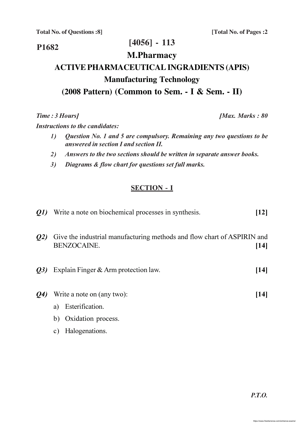[Total No. of Pages :2

#### P1682

### $[4056] - 113$

### **M.Pharmacy**

# **ACTIVE PHARMACEUTICAL INGRADIENTS (APIS) Manufacturing Technology** (2008 Pattern) (Common to Sem. - I & Sem. - II)

Time: 3 Hours]

**[Max. Marks: 80** 

**Instructions to the candidates:** 

- $\mathcal{D}$ Question No. 1 and 5 are compulsory. Remaining any two questions to be answered in section I and section II.
- Answers to the two sections should be written in separate answer books.  $2)$
- $3)$ Diagrams & flow chart for questions set full marks.

#### **SECTION - I**

| 01)  | Write a note on biochemical processes in synthesis.                                    | $\vert$ 12 $\vert$ |
|------|----------------------------------------------------------------------------------------|--------------------|
| Q(2) | Give the industrial manufacturing methods and flow chart of ASPIRIN and<br>BENZOCAINE. | [14]               |
| O3)  | Explain Finger $&$ Arm protection law.                                                 | [14]               |
| O4)  | Write a note on (any two):<br>Esterification.<br>a)                                    | [14]               |

- b) Oxidation process.
- c) Halogenations.

 $P.T.O.$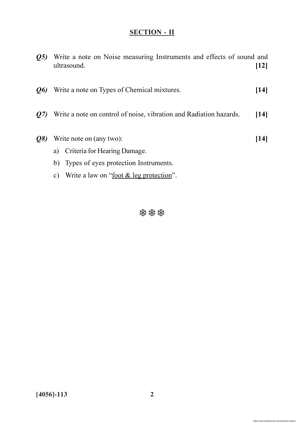### **SECTION - II**

| <i>O5</i> )           | Write a note on Noise measuring Instruments and effects of sound and<br>ultrasound. | [12]   |
|-----------------------|-------------------------------------------------------------------------------------|--------|
| <i>O</i> <sub>6</sub> | Write a note on Types of Chemical mixtures.                                         | $[14]$ |
| O7)                   | Write a note on control of noise, vibration and Radiation hazards.                  | $[14]$ |
| <i><b>O8</b></i>      | Write note on (any two):                                                            | [14]   |
|                       | Criteria for Hearing Damage.<br>a)                                                  |        |
|                       | Types of eyes protection Instruments.<br>b)                                         |        |
|                       | Write a law on "foot $&$ leg protection".<br>C)                                     |        |

#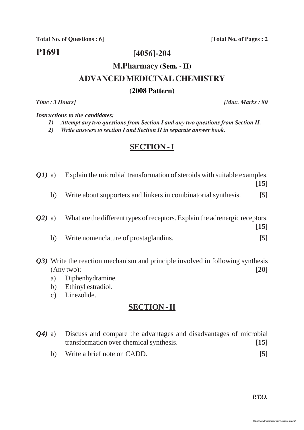Total No. of Questions : 6] [Total No. of Pages : 2

### **P1691**

#### **[4056]-204**

# **M.Pharmacy (Sem. - II) ADVANCED MEDICINAL CHEMISTRY**

#### **(2008 Pattern)**

*Time : 3 Hours] [Max. Marks : 80*

*Instructions to the candidates:*

- *1) Attempt any two questions from Section I and any two questions from Section II.*
- *2) Write answers to section I and Section II in separate answer book.*

### **SECTION - I**

| $QI$ ) a) |    | Explain the microbial transformation of steroids with suitable examples.     | $\lceil 15 \rceil$ |
|-----------|----|------------------------------------------------------------------------------|--------------------|
|           | b) | Write about supporters and linkers in combinatorial synthesis.               | $\sqrt{5}$         |
| $Q2)$ a)  |    | What are the different types of receptors. Explain the adrenergic receptors. | $[15]$             |
|           | b) | Write nomenclature of prostaglandins.                                        | [5]                |
|           |    |                                                                              |                    |

*Q3)* Write the reaction mechanism and principle involved in following synthesis (Any two): **[20]**

- a) Diphenhydramine.
- b) Ethinyl estradiol.
- c) Linezolide.

### **SECTION - II**

| $(Q4)$ a) | Discuss and compare the advantages and disadvantages of microbial |                    |
|-----------|-------------------------------------------------------------------|--------------------|
|           | transformation over chemical synthesis.                           | $\lceil 15 \rceil$ |
| h)        | Write a brief note on CADD.                                       | $\sqrt{5}$         |

*P.T.O.*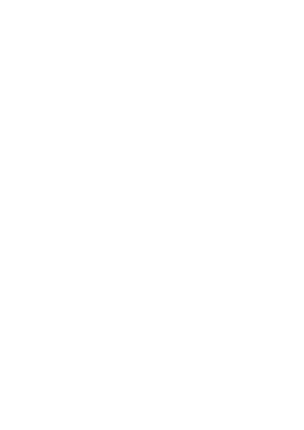| $(0.5)$ a) |    | Highlight the features of models of cholinergic receptors. | $[15]$ |
|------------|----|------------------------------------------------------------|--------|
|            | b) | Write about receptor cloning.                              | [5]    |
|            |    | $Q_6$ ) Write notes on any two:                            | [20]   |
|            | a) | Importance of gene therapy.                                |        |

- b) QSAR in drug design.
- c) Enzyme inhibition.

### **CSEOCSEO**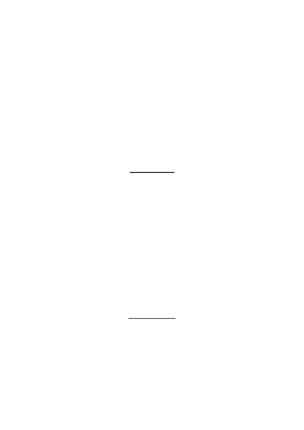Total No. of Questions : 6] **[Total No. of Pages : 2** 

## **P1692**

### **[4056]-205**

### **M.Pharmacy (Sem. - II)**

### **DRUG DESIGN**

#### **(Theory) (2008 Pattern)**

*Time : 3 Hours] [Max. Marks : 80*

*Instructions to the candidates:*

- *1) Question No.1 and 4 are compulsory.*
- *2) Answer any one question from Section I and any one question from Section II from the remaining.*
- *3) Answers to the two sections should be written in separate answer books.*
- *4) Figures to the right indicate full marks.*

### **SECTION - I**

*Q1)* Explain the importance of following in action of drug **[20]**

- a) Physicochemical properties
- b) Role of stereochemistry

*Q2)* a) Define the term prodrug. Elaborate various types of prodrugs with suitable examples. **[10]**

b) How is concept of prodrug applicable in drug design. **[10]**

*Q3)* Discuss the Free Wilson method, its principle, methodology, advantages & disadvantages with suitable examples. **[20]**

### **SECTION - II**

*Q4)* Explain the concept of Ligand based drug design, methods and techniques involved in the ligand based drug design. **[20]**

*Q5)* Explain in detail any one of the parameter used in the classical LFER method of QSAR *viz* **lipophilic** or **steric** or **electronic**. **[20]**

*P.T.O.*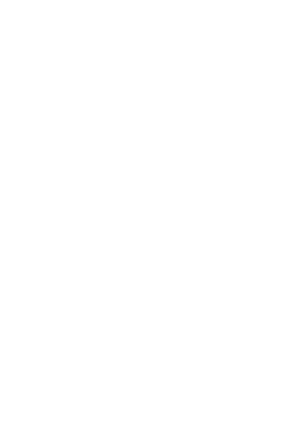*Q6)* Write short notes on any four: **[20]**

- a) Energy minimization methods
- b) Flexible docking
- c) Cluster analysis
- d) Molecular mechanics
- e) Theory of drug action
- f) Template forcing

### **CREDCRED**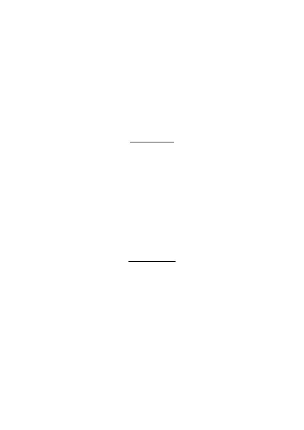Total No. of Questions : 8] **[Total No. of Pages : 1** 

**P1693**

### **[4056]-206 M.Pharmacy (Sem. - II) CLINICAL PHARMACOLOGY (2008 Pattern)**

*Time : 3 Hours] [Max. Marks : 80*

*Instructions to the candidates:*

- *1) Question number 1 & 5 are Compulsory. Out of the remaining attempt any two questions from Section - I and two questions from Section - II.*
- *2) Answers to the two sections should be written in separate book.*
- *3) Figures to the right indicate full marks.*

### **SECTION - I**

| Q1) Discuss the pharmacotherapy of angina pectoris.                                                                       | [10]               |
|---------------------------------------------------------------------------------------------------------------------------|--------------------|
| Q2) Write a detailed note on pharmacotherapy of neoplastic disorders.                                                     | $[15]$             |
| Q3) Describe the clinical treatment of acute renal failure. Add a note on renal<br>transplantation.                       | $[15]$             |
| $Q_4$ ) Write notes on:<br>Management of diarrhoea.<br>a)<br>Pharmacotherapy of peptic ulcers.<br>b)<br><b>SECTION-II</b> | $[15]$             |
| Q5) Discuss in detail about the resistance to antibiotics.                                                                | $[10]$             |
| $Q6$ ) Write a note on current concepts in the treatment of AIDS.                                                         | $[15]$             |
| Q7) Explain the pharmacotherapy of asthma.                                                                                | $[15]$             |
| $Q8$ ) Write a note on:<br>Management of hepatic cirrhosis<br>a)                                                          | $\lceil 15 \rceil$ |

b) Vaccines and Sera.

### **CROCKED**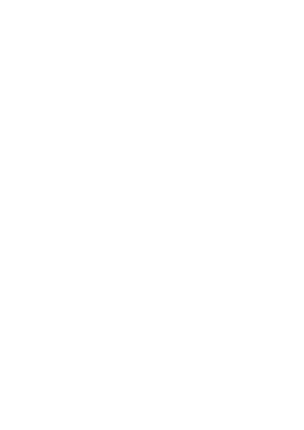Total No. of Questions : 8] **[Total No. of Pages : 2** 

### **P1694**

### **[4056]-207**

### **M.Pharmacy (Sem. - II)**

### **MOLECULAR PHARMACOLOGY**

#### **(2008 Pattern)**

*Time : 3 Hours] [Max. Marks : 80*

*Instructions to the candidates:*

- *1) Q.1 & Q.5 are Compulsory.*
- *2) Solve any two questions from the remaining in Section I and Section II.*
- *3) Figures to the right indicate full marks.*
- *4) Write answers for Section I & II in separate answer sheets.*

### **SECTION - I**

- *Q1)* Discuss recent advances in GABA and benzodiazepine receptors research.**[10]**
- *Q2)* Enlist various endogenous bioactive molecules and describe role of endothelium derived vascular substances and it's modulators. **[15]**
- *Q3)* What do you mean by adhesion therapy? Explain clinical implication of this therapy. **[15]**
- *Q4)* Write a note on (any three)
	- a) Opoid receptors
	- b) Neuropeptide and it's modulators
	- c) Pharmacology of atrial peptides
	- d) Calcium channel modulators **[15]**

*P.T.O.*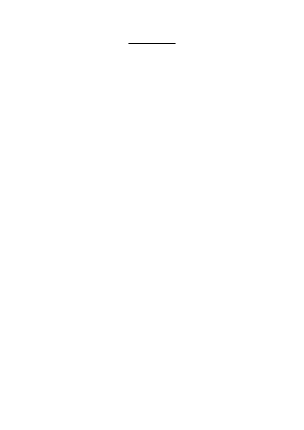### **SECTION - II**

| Q5) Discuss concept of gene therapy and it's use in hereditary diseases.          | [10]   |
|-----------------------------------------------------------------------------------|--------|
| $Q_6$ ) Explain role of Chronopharmacology in drug therapy.                       | $[15]$ |
| $Q7$ ) Write a note on Pharmacological & Clinical implications of apoptosis. [15] |        |
|                                                                                   |        |

### **CSEOCSEO**

*Q8)* Justify role of human genome mapping in current drug research. **[15]**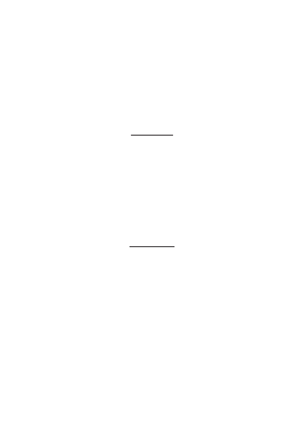### **[4056] - 107**

### **M.Pharmacy (Sem. - I) ADVANCED QUALITY ASSURANCE TECHNIQUES - I (2008 Pattern) P1701**

**Time**: 3 Ho

*[Max. Marks:80* 

**Instructions to the candidates:** 

- *-(b) Question No. 1 and 4 are compulsory.*
- 2) Out of remaining solve any 1 from Section I and any 1 from Section II.

### **SECTION - I**

| <i>Q1)</i>  | a) | Write functions of Q a.                                            | [10] |
|-------------|----|--------------------------------------------------------------------|------|
|             | b) | Enlist Documents in Pharmaceutical Manufacturing. Elaborates Batch |      |
|             |    | Production and control Records.                                    | [10] |
| <i>Q2</i> ) | a) | What are the GMP issues with respect to Equipments.                | [10] |
|             | b) | How to handle rejected, recalled and returned goods.               | [10] |
|             |    | Q3) Write short note :                                             | [20] |
|             | a) | Surrounding and Building of Pharmaceutical Manufacturing Unit.     |      |

b) Quality management system.

### **SECTION - II**

| $(04)$ a)       | Write principle of quality audit. Give its importance and checklist of<br><b>Quality Audit.</b><br>$[10]$                                                                                                           |
|-----------------|---------------------------------------------------------------------------------------------------------------------------------------------------------------------------------------------------------------------|
| b)              | How to ensure site and plant security and safety.<br>[10]                                                                                                                                                           |
| $O(5)$ a)<br>b) | Explain Quality control, water and steam and HVAC system of Sterile<br>pharmaceutical products.<br><b>[10]</b><br>Write importance of outsourcing and elaborate manufacturing and<br>packaging outsourcing.<br>[10] |

 $\overline{Q6}$  Write short note :  $[20]$ 

- a) IPQC testing.
- b) Site Master file.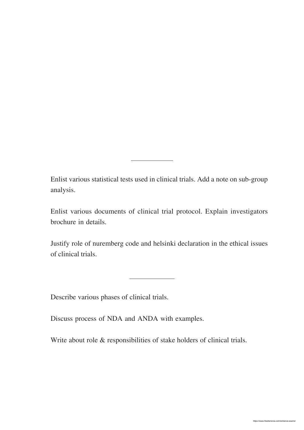Total No. of Questions : 6] **[Total No. of Pages : 1** P1683

### **[4056] - 114 M.Pharmacy (Common to Sem. - I & II) CLINICAL TRIALS (2008 Course)**

*Time : 3 Hours] [Max. Marks : 80 Instructions to the candidates:*

- *1) Solve any two questions from each sections.*
- *2) All questions carry equal marks.*
- *3) Answers to each section shall be written in separate sheet.*

#### **SECTION - I**

- *Q1*) Enlist various statistical tests used in clinical trials. Add a note on sub-group analysis. **[20]**
- *Q2)* Enlist various documents of clinical trial protocol. Explain investigators brochure in details. **[20]**
- *Q3)* Justify role of nuremberg code and helsinki declaration in the ethical issues of clinical trials. **[20]**

#### **SECTION - II**

- *Q4)* Describe various phases of clinical trials. **[20]**
- *Q5)* Discuss process of NDA and ANDA with examples. **[20]**
- *Q6)* Write about role & responsibilities of stake holders of clinical trials. **[20]**

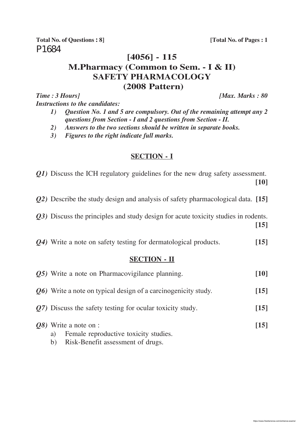Total No. of Questions : 8] **[Total No. of Pages : 1** P<sub>1684</sub>

### **[4056] - 115 M.Pharmacy (Common to Sem. - I & II) SAFETY PHARMACOLOGY (2008 Pattern)**

*Time : 3 Hours] [Max. Marks : 80 Instructions to the candidates:*

- *1) Question No. 1 and 5 are compulsory. Out of the remaining attempt any 2 questions from Section - I and 2 questions from Section - II.*
- *2) Answers to the two sections should be written in separate books.*
- *3) Figures to the right indicate full marks.*

#### **SECTION - I**

*Q1*) Discuss the ICH regulatory guidelines for the new drug safety assessment. **[10]**

*Q2)* Describe the study design and analysis of safety pharmacological data. **[15]**

*Q3)* Discuss the principles and study design for acute toxicity studies in rodents. **[15]**

*Q4)* Write a note on safety testing for dermatological products. **[15]**

#### **SECTION - II**

| Q5) Write a note on Pharmacovigilance planning.                          | $\lceil 10 \rceil$ |
|--------------------------------------------------------------------------|--------------------|
| $Q_6$ ) Write a note on typical design of a carcinogenicity study.       | $[15]$             |
| Q7) Discuss the safety testing for ocular toxicity study.                | $[15]$             |
| $(0.8)$ Write a note on :<br>Female reproductive toxicity studies.<br>a) | $[15]$             |

b) Risk-Benefit assessment of drugs.

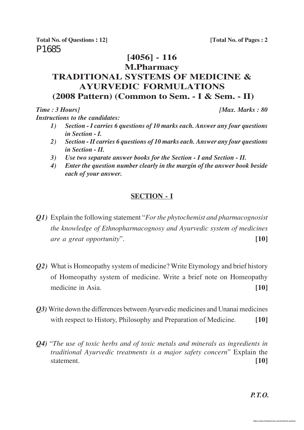### **[4056] - 116**

### **M.Pharmacy TRADITIONAL SYSTEMS OF MEDICINE & AYURVEDIC FORMULATIONS (2008 Pattern) (Common to Sem. - I & Sem. - II)**

*Time : 3 Hours] [Max. Marks : 80*

*Instructions to the candidates:*

- *1) Section I carries 6 questions of 10 marks each. Answer any four questions in Section - I.*
- *2) Section II carries 6 questions of 10 marks each. Answer any four questions in Section - II.*
- *3) Use two separate answer books for the Section I and Section II.*
- *4) Enter the question number clearly in the margin of the answer book beside each of your answer.*

### **SECTION - I**

- *Q1)* Explain the following statement "*For the phytochemist and pharmacognosist the knowledge of Ethnopharmacognosy and Ayurvedic system of medicines are a great opportunity*". **[10]**
- *Q2)* What is Homeopathy system of medicine? Write Etymology and brief history of Homeopathy system of medicine. Write a brief note on Homeopathy medicine in Asia. **[10]**
- *Q3*) Write down the differences between Ayurvedic medicines and Unanai medicines with respect to History, Philosophy and Preparation of Medicine. [10]
- *Q4)* "*The use of toxic herbs and of toxic metals and minerals as ingredients in traditional Ayurvedic treatments is a major safety concern*" Explain the statement. **[10]**

**P.T.O.**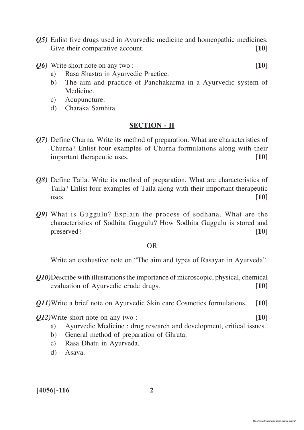- *Q5)* Enlist five drugs used in Ayurvedic medicine and homeopathic medicines. Give their comparative account. **[10]**
- *Q6)* Write short note on any two  $\infty$ : [10]
	- a) Rasa Shastra in Ayurvedic Practice.
	- b) The aim and practice of Panchakarma in a Ayurvedic system of Medicine.
	- c) Acupuncture.
	- d) Charaka Samhita.

#### **SECTION - II**

- *Q7)* Define Churna. Write its method of preparation. What are characteristics of Churna? Enlist four examples of Churna formulations along with their important therapeutic uses. **[10]**
- *Q8)* Define Taila. Write its method of preparation. What are characteristics of Taila? Enlist four examples of Taila along with their important therapeutic uses. **[10]**
- *Q9)* What is Guggulu? Explain the process of sodhana. What are the characteristics of Sodhita Guggulu? How Sodhita Guggulu is stored and preserved? **[10]**

#### OR

Write an exahustive note on "The aim and types of Rasayan in Ayurveda".

- *Q10)*Describe with illustrations the importance of microscopic, physical, chemical evaluation of Ayurvedic crude drugs. **[10]**
- *Q11)*Write a brief note on Ayurvedic Skin care Cosmetics formulations. **[10]**

*Q12)*Write short note on any two : **[10]**

- a) Ayurvedic Medicine : drug research and development, critical issues.
- b) General method of preparation of Ghruta.
- c) Rasa Dhatu in Ayurveda.
- d) Asava.

----

### **140561-116** 2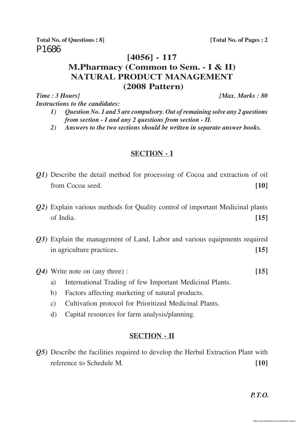Total No. of Questions : 8] **[Total No. of Pages : 2** P1686

### **[4056] - 117 M.Pharmacy (Common to Sem. - I & II) NATURAL PRODUCT MANAGEMENT (2008 Pattern)**

*Time : 3 Hours] [Max. Marks : 80 Instructions to the candidates:*

- *1) Question No. 1 and 5 are compulsory. Out of remaining solve any 2 questions from section - I and any 2 questions from section - II.*
- *2) Answers to the two sections should be written in separate answer books.*

### **SECTION - I**

- *Q1)* Describe the detail method for processing of Cocoa and extraction of oil from Cocoa seed. **[10]**
- *Q2)* Explain various methods for Quality control of important Medicinal plants of India. **[15]**
- *Q3)* Explain the management of Land, Labor and various equipments required in agriculture practices. **[15]**
- *Q4)* Write note on (any three) : **[15]**
	- a) International Trading of few Important Medicinal Plants.
	- b) Factors affecting marketing of natural products.
	- c) Cultivation protocol for Prioritized Medicinal Plants.
	- d) Capital resources for farm analysis/planning.

### **SECTION - II**

*Q5)* Describe the facilities required to develop the Herbal Extraction Plant with reference to Schedule M. **[10]**

**P.T.O.**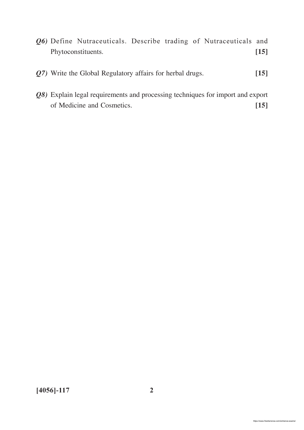- $Q6$ ) Define Nutraceuticals. Describe trading of Nutraceuticals and Phytoconstituent **[15]**
- *Q7)* Write the Global Regulatory affairs for herbal drugs. **[15]**
- *Q8)* Explain legal requirements and processing techniques for import and export of Medicine and Cosmetics. **[15]**

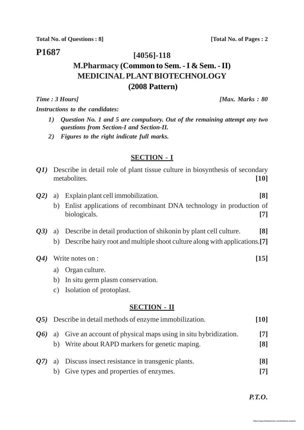Total No. of Questions : 8] **[Total No. of Pages : 2** 

### **P1687**

### **[4056]-118**

### **M.Pharmacy (Common to Sem. - I & Sem. - II) MEDICINAL PLANT BIOTECHNOLOGY (2008 Pattern)**

*Time : 3 Hours] [Max. Marks : 80*

*Instructions to the candidates:*

- *1) Question No. 1 and 5 are compulsory. Out of the remaining attempt any two questions from Section-I and Section-II.*
- *2) Figures to the right indicate full marks.*

### **SECTION - I**

| Q1) Describe in detail role of plant tissue culture in biosynthesis of secondary |                    |
|----------------------------------------------------------------------------------|--------------------|
| metabolites.                                                                     | $\lceil 10 \rceil$ |

- *Q2)* a) Explain plant cell immobilization. **[8]**
	- b) Enlist applications of recombinant DNA technology in production of biologicals. **[7]**
- *Q3)* a) Describe in detail production of shikonin by plant cell culture. **[8]**
	- b) Describe hairy root and multiple shoot culture along with applications.**[7]**

#### *Q4)* Write notes on : **[15]**

- a) Organ culture.
- b) In situ germ plasm conservation.
- c) Isolation of protoplast.

### **SECTION - II**

|     | $\overline{0.05}$ Describe in detail methods of enzyme immobilization. |                                                                                                                           | $\lceil 10 \rceil$                     |  |
|-----|------------------------------------------------------------------------|---------------------------------------------------------------------------------------------------------------------------|----------------------------------------|--|
|     |                                                                        | $Q_6$ a) Give an account of physical maps using in situ hybridization.<br>b) Write about RAPD markers for genetic maping. | $\lceil 7 \rceil$<br>$\lceil 8 \rceil$ |  |
| O7) |                                                                        | a) Discuss insect resistance in transgenic plants.<br>b) Give types and properties of enzymes.                            | [8]                                    |  |

*P.T.O.*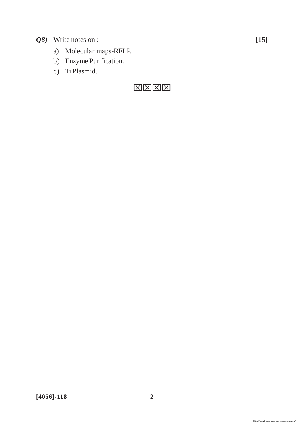- $(28)$  Write notes on :
	- a) Molecular maps-RFLP.
	- b) Enzyme Purification.
	- c) Ti Plasmid.

### $\boxed{\text{X} \mid \text{X} \mid \text{X} \mid \text{X}}$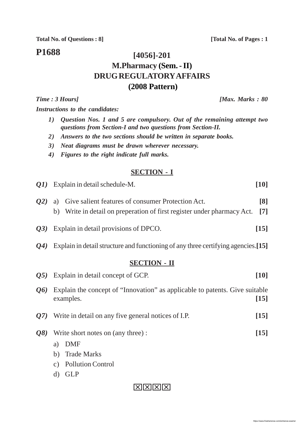### **P1688**

### **[4056]-201 M.Pharmacy (Sem. - II) DRUG REGULATORY AFFAIRS (2008 Pattern)**

*Time : 3 Hours] [Max. Marks : 80*

*Instructions to the candidates:*

- *1) Question Nos. 1 and 5 are compulsory. Out of the remaining attempt two questions from Section-I and two questions from Section-II.*
- *2) Answers to the two sections should be written in separate books.*
- *3) Neat diagrams must be drawn wherever necessary.*
- *4) Figures to the right indicate full marks.*

#### **SECTION - I**

| Q1)   | $[10]$<br>Explain in detail schedule-M.                                                                                         |              |
|-------|---------------------------------------------------------------------------------------------------------------------------------|--------------|
| Q2)   | a) Give salient features of consumer Protection Act.<br>b) Write in detail on preperation of first register under pharmacy Act. | [8]<br>$[7]$ |
| (23)  | Explain in detail provisions of DPCO.                                                                                           | $[15]$       |
| Q4)   | Explain in detail structure and functioning of any three certifying agencies.[15]                                               |              |
|       | <b>SECTION - II</b>                                                                                                             |              |
| Q5)   | Explain in detail concept of GCP.                                                                                               | $[10]$       |
| $Q_0$ | Explain the concept of "Innovation" as applicable to patents. Give suitable<br>$[15]$<br>examples.                              |              |
| (27)  | Write in detail on any five general notices of I.P.<br>$[15]$                                                                   |              |
| (28)  | [15]<br>Write short notes on (any three) :                                                                                      |              |
|       | <b>DMF</b><br>a)                                                                                                                |              |
|       | <b>Trade Marks</b><br>b)                                                                                                        |              |
|       | c) Pollution Control                                                                                                            |              |
|       | <b>GLP</b><br>d)                                                                                                                |              |

 $XX$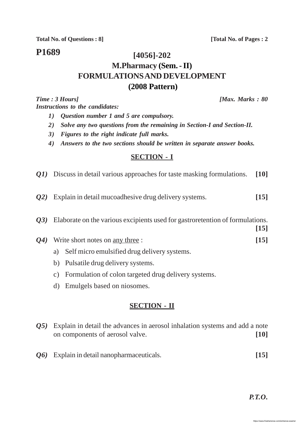**Total No. of Questions : 8]** [Total No. of Pages : 2

### **P1689**

### **[4056]-202**

### **M.Pharmacy (Sem. - II) FORMULATIONS AND DEVELOPMENT (2008 Pattern)**

*Time : 3 Hours] [Max. Marks : 80 Instructions to the candidates:*

- *1) Question number 1 and 5 are compulsory.*
- *2) Solve any two questions from the remaining in Section-I and Section-II.*
- *3) Figures to the right indicate full marks.*
- *4) Answers to the two sections should be written in separate answer books.*

#### **SECTION - I**

- *Q1)* Discuss in detail various approaches for taste masking formulations. **[10]**
- *Q2)* Explain in detail mucoadhesive drug delivery systems. **[15]**

*Q3)* Elaborate on the various excipients used for gastroretention of formulations.

- *Q4)* Write short notes on any three : **[15]**
	- a) Self micro emulsified drug delivery systems.
	- b) Pulsatile drug delivery systems.
	- c) Formulation of colon targeted drug delivery systems.
	- d) Emulgels based on niosomes.

#### **SECTION - II**

- *Q5)* Explain in detail the advances in aerosol inhalation systems and add a note on components of aerosol valve. **[10]**
- *Q6)* Explain in detail nanopharmaceuticals. **[15]**

*P.T.O.*

**[15]**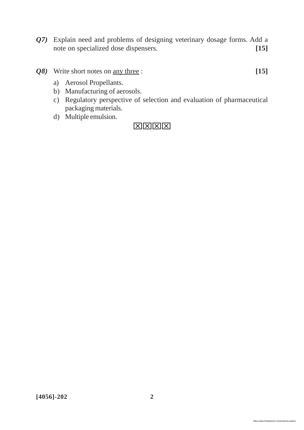- *Q7)* Explain need and problems of designing veterinary dosage forms. Add a note on specialized dose dispensers. **[15]**
- *Q8)* Write short notes on any three : **[15]**

- a) Aerosol Propellants.
- b) Manufacturing of aerosols.
- c) Regulatory perspective of selection and evaluation of pharmaceutical packaging materials.
- d) Multiple emulsion.

### ⌧⌧⌧⌧